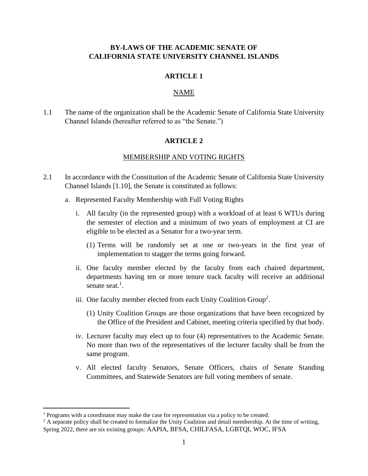## **BY-LAWS OF THE ACADEMIC SENATE OF CALIFORNIA STATE UNIVERSITY CHANNEL ISLANDS**

#### **ARTICLE 1**

## NAME

1.1 The name of the organization shall be the Academic Senate of California State University Channel Islands (hereafter referred to as "the Senate.")

#### **ARTICLE 2**

#### MEMBERSHIP AND VOTING RIGHTS

- 2.1 In accordance with the Constitution of the Academic Senate of California State University Channel Islands [1.10], the Senate is constituted as follows:
	- a. Represented Faculty Membership with Full Voting Rights
		- i. All faculty (in the represented group) with a workload of at least 6 WTUs during the semester of election and a minimum of two years of employment at CI are eligible to be elected as a Senator for a two-year term.
			- (1) Terms will be randomly set at one or two-years in the first year of implementation to stagger the terms going forward.
		- ii. One faculty member elected by the faculty from each chaired department, departments having ten or more tenure track faculty will receive an additional senate seat.<sup>1</sup>.
		- iii. One faculty member elected from each Unity Coalition Group<sup>2</sup>.
			- (1) Unity Coalition Groups are those organizations that have been recognized by the Office of the President and Cabinet, meeting criteria specified by that body.
		- iv. Lecturer faculty may elect up to four (4) representatives to the Academic Senate. No more than two of the representatives of the lecturer faculty shall be from the same program.
		- v. All elected faculty Senators, Senate Officers, chairs of Senate Standing Committees, and Statewide Senators are full voting members of senate.

<sup>&</sup>lt;sup>1</sup> Programs with a coordinator may make the case for representation via a policy to be created.

 $2$  A separate policy shall be created to formalize the Unity Coalition and detail membership. At the time of writing, Spring 2022, there are six existing groups: AAPIA, BFSA, CHILFASA, LGBTQI, WOC, IFSA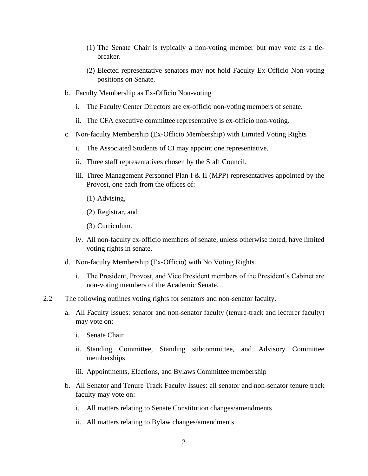- (1) The Senate Chair is typically a non-voting member but may vote as a tiebreaker.
- (2) Elected representative senators may not hold Faculty Ex-Officio Non-voting positions on Senate.
- b. Faculty Membership as Ex-Officio Non-voting
	- i. The Faculty Center Directors are ex-officio non-voting members of senate.
	- ii. The CFA executive committee representative is ex-officio non-voting.
- c. Non-faculty Membership (Ex-Officio Membership) with Limited Voting Rights
	- i. The Associated Students of CI may appoint one representative.
	- ii. Three staff representatives chosen by the Staff Council.
	- iii. Three Management Personnel Plan I & II (MPP) representatives appointed by the Provost, one each from the offices of:
		- (1) Advising,
		- (2) Registrar, and
		- (3) Curriculum.
	- iv. All non-faculty ex-officio members of senate, unless otherwise noted, have limited voting rights in senate.
- d. Non-faculty Membership (Ex-Officio) with No Voting Rights
	- i. The President, Provost, and Vice President members of the President's Cabinet are non-voting members of the Academic Senate.
- 2.2 The following outlines voting rights for senators and non-senator faculty.
	- a. All Faculty Issues: senator and non-senator faculty (tenure-track and lecturer faculty) may vote on:
		- i. Senate Chair
		- ii. Standing Committee, Standing subcommittee, and Advisory Committee memberships
		- iii. Appointments, Elections, and Bylaws Committee membership
	- b. All Senator and Tenure Track Faculty Issues: all senator and non-senator tenure track faculty may vote on:
		- i. All matters relating to Senate Constitution changes/amendments
		- ii. All matters relating to Bylaw changes/amendments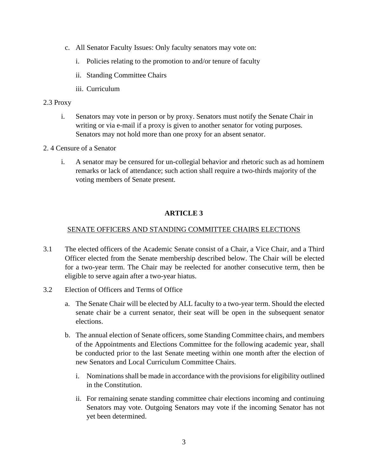- c. All Senator Faculty Issues: Only faculty senators may vote on:
	- i. Policies relating to the promotion to and/or tenure of faculty
	- ii. Standing Committee Chairs
	- iii. Curriculum

## 2.3 Proxy

- i. Senators may vote in person or by proxy. Senators must notify the Senate Chair in writing or via e-mail if a proxy is given to another senator for voting purposes. Senators may not hold more than one proxy for an absent senator.
- 2. 4 Censure of a Senator
	- i. A senator may be censured for un-collegial behavior and rhetoric such as ad hominem remarks or lack of attendance; such action shall require a two-thirds majority of the voting members of Senate present.

# **ARTICLE 3**

## SENATE OFFICERS AND STANDING COMMITTEE CHAIRS ELECTIONS

- 3.1 The elected officers of the Academic Senate consist of a Chair, a Vice Chair, and a Third Officer elected from the Senate membership described below. The Chair will be elected for a two-year term. The Chair may be reelected for another consecutive term, then be eligible to serve again after a two-year hiatus.
- 3.2 Election of Officers and Terms of Office
	- a. The Senate Chair will be elected by ALL faculty to a two-year term. Should the elected senate chair be a current senator, their seat will be open in the subsequent senator elections.
	- b. The annual election of Senate officers, some Standing Committee chairs, and members of the Appointments and Elections Committee for the following academic year, shall be conducted prior to the last Senate meeting within one month after the election of new Senators and Local Curriculum Committee Chairs.
		- i. Nominations shall be made in accordance with the provisions for eligibility outlined in the Constitution.
		- ii. For remaining senate standing committee chair elections incoming and continuing Senators may vote. Outgoing Senators may vote if the incoming Senator has not yet been determined.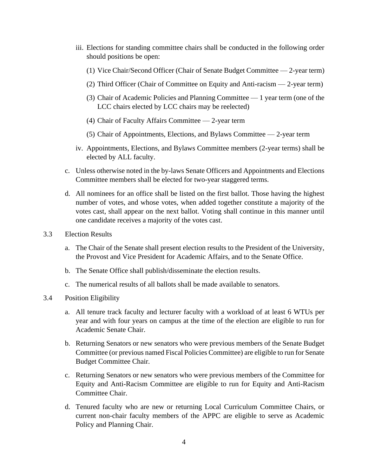- iii. Elections for standing committee chairs shall be conducted in the following order should positions be open:
	- (1) Vice Chair/Second Officer (Chair of Senate Budget Committee 2-year term)
	- (2) Third Officer (Chair of Committee on Equity and Anti-racism 2-year term)
	- (3) Chair of Academic Policies and Planning Committee 1 year term (one of the LCC chairs elected by LCC chairs may be reelected)
	- (4) Chair of Faculty Affairs Committee 2-year term
	- (5) Chair of Appointments, Elections, and Bylaws Committee 2-year term
- iv. Appointments, Elections, and Bylaws Committee members (2-year terms) shall be elected by ALL faculty.
- c. Unless otherwise noted in the by-laws Senate Officers and Appointments and Elections Committee members shall be elected for two-year staggered terms.
- d. All nominees for an office shall be listed on the first ballot. Those having the highest number of votes, and whose votes, when added together constitute a majority of the votes cast, shall appear on the next ballot. Voting shall continue in this manner until one candidate receives a majority of the votes cast.
- 3.3 Election Results
	- a. The Chair of the Senate shall present election results to the President of the University, the Provost and Vice President for Academic Affairs, and to the Senate Office.
	- b. The Senate Office shall publish/disseminate the election results.
	- c. The numerical results of all ballots shall be made available to senators.
- 3.4 Position Eligibility
	- a. All tenure track faculty and lecturer faculty with a workload of at least 6 WTUs per year and with four years on campus at the time of the election are eligible to run for Academic Senate Chair.
	- b. Returning Senators or new senators who were previous members of the Senate Budget Committee (or previous named Fiscal Policies Committee) are eligible to run for Senate Budget Committee Chair.
	- c. Returning Senators or new senators who were previous members of the Committee for Equity and Anti-Racism Committee are eligible to run for Equity and Anti-Racism Committee Chair.
	- d. Tenured faculty who are new or returning Local Curriculum Committee Chairs, or current non-chair faculty members of the APPC are eligible to serve as Academic Policy and Planning Chair.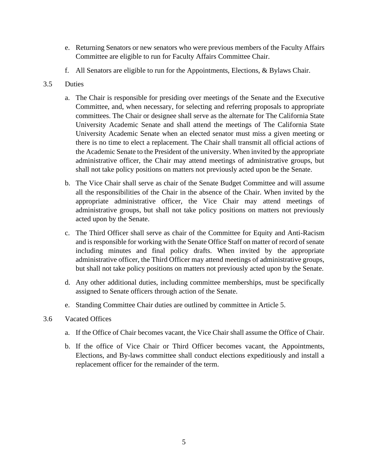- e. Returning Senators or new senators who were previous members of the Faculty Affairs Committee are eligible to run for Faculty Affairs Committee Chair.
- f. All Senators are eligible to run for the Appointments, Elections, & Bylaws Chair.
- 3.5 Duties
	- a. The Chair is responsible for presiding over meetings of the Senate and the Executive Committee, and, when necessary, for selecting and referring proposals to appropriate committees. The Chair or designee shall serve as the alternate for The California State University Academic Senate and shall attend the meetings of The California State University Academic Senate when an elected senator must miss a given meeting or there is no time to elect a replacement. The Chair shall transmit all official actions of the Academic Senate to the President of the university. When invited by the appropriate administrative officer, the Chair may attend meetings of administrative groups, but shall not take policy positions on matters not previously acted upon be the Senate.
	- b. The Vice Chair shall serve as chair of the Senate Budget Committee and will assume all the responsibilities of the Chair in the absence of the Chair. When invited by the appropriate administrative officer, the Vice Chair may attend meetings of administrative groups, but shall not take policy positions on matters not previously acted upon by the Senate.
	- c. The Third Officer shall serve as chair of the Committee for Equity and Anti-Racism and is responsible for working with the Senate Office Staff on matter of record of senate including minutes and final policy drafts. When invited by the appropriate administrative officer, the Third Officer may attend meetings of administrative groups, but shall not take policy positions on matters not previously acted upon by the Senate.
	- d. Any other additional duties, including committee memberships, must be specifically assigned to Senate officers through action of the Senate.
	- e. Standing Committee Chair duties are outlined by committee in Article 5.
- 3.6 Vacated Offices
	- a. If the Office of Chair becomes vacant, the Vice Chair shall assume the Office of Chair.
	- b. If the office of Vice Chair or Third Officer becomes vacant, the Appointments, Elections, and By-laws committee shall conduct elections expeditiously and install a replacement officer for the remainder of the term.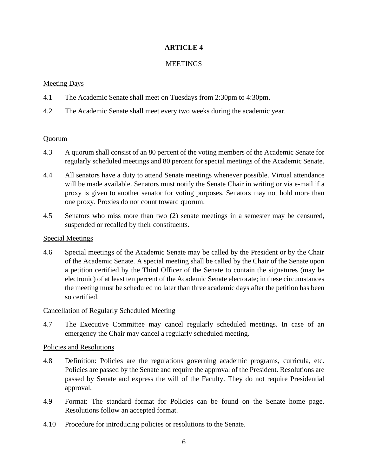## **ARTICLE 4**

### **MEETINGS**

## Meeting Days

- 4.1 The Academic Senate shall meet on Tuesdays from 2:30pm to 4:30pm.
- 4.2 The Academic Senate shall meet every two weeks during the academic year.

### Quorum

- 4.3 A quorum shall consist of an 80 percent of the voting members of the Academic Senate for regularly scheduled meetings and 80 percent for special meetings of the Academic Senate.
- 4.4 All senators have a duty to attend Senate meetings whenever possible. Virtual attendance will be made available. Senators must notify the Senate Chair in writing or via e-mail if a proxy is given to another senator for voting purposes. Senators may not hold more than one proxy. Proxies do not count toward quorum.
- 4.5 Senators who miss more than two (2) senate meetings in a semester may be censured, suspended or recalled by their constituents.

### Special Meetings

4.6 Special meetings of the Academic Senate may be called by the President or by the Chair of the Academic Senate. A special meeting shall be called by the Chair of the Senate upon a petition certified by the Third Officer of the Senate to contain the signatures (may be electronic) of at least ten percent of the Academic Senate electorate; in these circumstances the meeting must be scheduled no later than three academic days after the petition has been so certified.

### Cancellation of Regularly Scheduled Meeting

4.7 The Executive Committee may cancel regularly scheduled meetings. In case of an emergency the Chair may cancel a regularly scheduled meeting.

### Policies and Resolutions

- 4.8 Definition: Policies are the regulations governing academic programs, curricula, etc. Policies are passed by the Senate and require the approval of the President. Resolutions are passed by Senate and express the will of the Faculty. They do not require Presidential approval.
- 4.9 Format: The standard format for Policies can be found on the Senate home page. Resolutions follow an accepted format.
- 4.10 Procedure for introducing policies or resolutions to the Senate.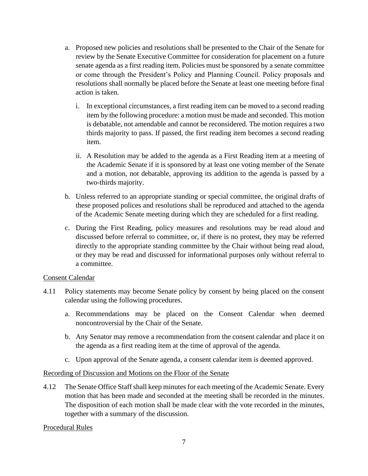- a. Proposed new policies and resolutions shall be presented to the Chair of the Senate for review by the Senate Executive Committee for consideration for placement on a future senate agenda as a first reading item. Policies must be sponsored by a senate committee or come through the President's Policy and Planning Council. Policy proposals and resolutions shall normally be placed before the Senate at least one meeting before final action is taken.
	- i. In exceptional circumstances, a first reading item can be moved to a second reading item by the following procedure: a motion must be made and seconded. This motion is debatable, not amendable and cannot be reconsidered. The motion requires a two thirds majority to pass. If passed, the first reading item becomes a second reading item.
	- ii. A Resolution may be added to the agenda as a First Reading item at a meeting of the Academic Senate if it is sponsored by at least one voting member of the Senate and a motion, not debatable, approving its addition to the agenda is passed by a two-thirds majority.
- b. Unless referred to an appropriate standing or special committee, the original drafts of these proposed polices and resolutions shall be reproduced and attached to the agenda of the Academic Senate meeting during which they are scheduled for a first reading.
- c. During the First Reading, policy measures and resolutions may be read aloud and discussed before referral to committee, or, if there is no protest, they may be referred directly to the appropriate standing committee by the Chair without being read aloud, or they may be read and discussed for informational purposes only without referral to a committee.

### Consent Calendar

- 4.11 Policy statements may become Senate policy by consent by being placed on the consent calendar using the following procedures.
	- a. Recommendations may be placed on the Consent Calendar when deemed noncontroversial by the Chair of the Senate.
	- b. Any Senator may remove a recommendation from the consent calendar and place it on the agenda as a first reading item at the time of approval of the agenda.
	- c. Upon approval of the Senate agenda, a consent calendar item is deemed approved.

## Recording of Discussion and Motions on the Floor of the Senate

4.12 The Senate Office Staff shall keep minutes for each meeting of the Academic Senate. Every motion that has been made and seconded at the meeting shall be recorded in the minutes. The disposition of each motion shall be made clear with the vote recorded in the minutes, together with a summary of the discussion.

## Procedural Rules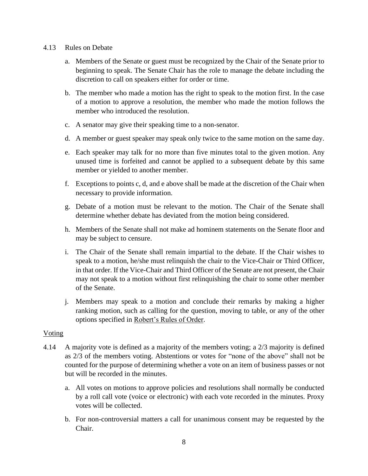### 4.13 Rules on Debate

- a. Members of the Senate or guest must be recognized by the Chair of the Senate prior to beginning to speak. The Senate Chair has the role to manage the debate including the discretion to call on speakers either for order or time.
- b. The member who made a motion has the right to speak to the motion first. In the case of a motion to approve a resolution, the member who made the motion follows the member who introduced the resolution.
- c. A senator may give their speaking time to a non-senator.
- d. A member or guest speaker may speak only twice to the same motion on the same day.
- e. Each speaker may talk for no more than five minutes total to the given motion. Any unused time is forfeited and cannot be applied to a subsequent debate by this same member or yielded to another member.
- f. Exceptions to points c, d, and e above shall be made at the discretion of the Chair when necessary to provide information.
- g. Debate of a motion must be relevant to the motion. The Chair of the Senate shall determine whether debate has deviated from the motion being considered.
- h. Members of the Senate shall not make ad hominem statements on the Senate floor and may be subject to censure.
- i. The Chair of the Senate shall remain impartial to the debate. If the Chair wishes to speak to a motion, he/she must relinquish the chair to the Vice-Chair or Third Officer, in that order. If the Vice-Chair and Third Officer of the Senate are not present, the Chair may not speak to a motion without first relinquishing the chair to some other member of the Senate.
- j. Members may speak to a motion and conclude their remarks by making a higher ranking motion, such as calling for the question, moving to table, or any of the other options specified in Robert's Rules of Order.

## Voting

- 4.14 A majority vote is defined as a majority of the members voting; a 2/3 majority is defined as 2/3 of the members voting. Abstentions or votes for "none of the above" shall not be counted for the purpose of determining whether a vote on an item of business passes or not but will be recorded in the minutes.
	- a. All votes on motions to approve policies and resolutions shall normally be conducted by a roll call vote (voice or electronic) with each vote recorded in the minutes. Proxy votes will be collected.
	- b. For non-controversial matters a call for unanimous consent may be requested by the Chair.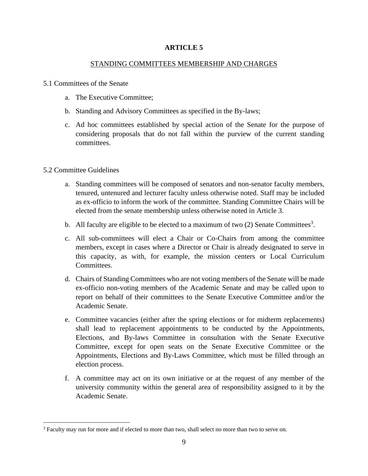## **ARTICLE 5**

### STANDING COMMITTEES MEMBERSHIP AND CHARGES

#### 5.1 Committees of the Senate

- a. The Executive Committee;
- b. Standing and Advisory Committees as specified in the By-laws;
- c. Ad hoc committees established by special action of the Senate for the purpose of considering proposals that do not fall within the purview of the current standing committees.

### 5.2 Committee Guidelines

- a. Standing committees will be composed of senators and non-senator faculty members, tenured, untenured and lecturer faculty unless otherwise noted. Staff may be included as ex-officio to inform the work of the committee. Standing Committee Chairs will be elected from the senate membership unless otherwise noted in Article 3.
- b. All faculty are eligible to be elected to a maximum of two  $(2)$  Senate Committees<sup>3</sup>.
- c. All sub-committees will elect a Chair or Co-Chairs from among the committee members, except in cases where a Director or Chair is already designated to serve in this capacity, as with, for example, the mission centers or Local Curriculum Committees.
- d. Chairs of Standing Committees who are not voting members of the Senate will be made ex-officio non-voting members of the Academic Senate and may be called upon to report on behalf of their committees to the Senate Executive Committee and/or the Academic Senate.
- e. Committee vacancies (either after the spring elections or for midterm replacements) shall lead to replacement appointments to be conducted by the Appointments, Elections, and By-laws Committee in consultation with the Senate Executive Committee, except for open seats on the Senate Executive Committee or the Appointments, Elections and By-Laws Committee, which must be filled through an election process.
- f. A committee may act on its own initiative or at the request of any member of the university community within the general area of responsibility assigned to it by the Academic Senate.

<sup>3</sup> Faculty may run for more and if elected to more than two, shall select no more than two to serve on.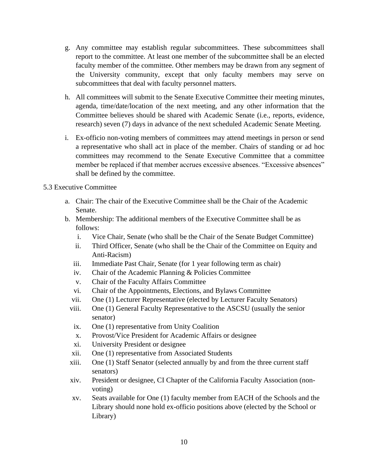- g. Any committee may establish regular subcommittees. These subcommittees shall report to the committee. At least one member of the subcommittee shall be an elected faculty member of the committee. Other members may be drawn from any segment of the University community, except that only faculty members may serve on subcommittees that deal with faculty personnel matters.
- h. All committees will submit to the Senate Executive Committee their meeting minutes, agenda, time/date/location of the next meeting, and any other information that the Committee believes should be shared with Academic Senate (i.e., reports, evidence, research) seven (7) days in advance of the next scheduled Academic Senate Meeting.
- i. Ex-officio non-voting members of committees may attend meetings in person or send a representative who shall act in place of the member. Chairs of standing or ad hoc committees may recommend to the Senate Executive Committee that a committee member be replaced if that member accrues excessive absences. "Excessive absences" shall be defined by the committee.

## 5.3 Executive Committee

- a. Chair: The chair of the Executive Committee shall be the Chair of the Academic Senate.
- b. Membership: The additional members of the Executive Committee shall be as follows:
	- i. Vice Chair, Senate (who shall be the Chair of the Senate Budget Committee)
	- ii. Third Officer, Senate (who shall be the Chair of the Committee on Equity and Anti-Racism)
	- iii. Immediate Past Chair, Senate (for 1 year following term as chair)
	- iv. Chair of the Academic Planning & Policies Committee
	- v. Chair of the Faculty Affairs Committee
	- vi. Chair of the Appointments, Elections, and Bylaws Committee
	- vii. One (1) Lecturer Representative (elected by Lecturer Faculty Senators)
	- viii. One (1) General Faculty Representative to the ASCSU (usually the senior senator)
	- ix. One (1) representative from Unity Coalition
	- x. Provost/Vice President for Academic Affairs or designee
	- xi. University President or designee
	- xii. One (1) representative from Associated Students
	- xiii. One (1) Staff Senator (selected annually by and from the three current staff senators)
	- xiv. President or designee, CI Chapter of the California Faculty Association (nonvoting)
	- xv. Seats available for One (1) faculty member from EACH of the Schools and the Library should none hold ex-officio positions above (elected by the School or Library)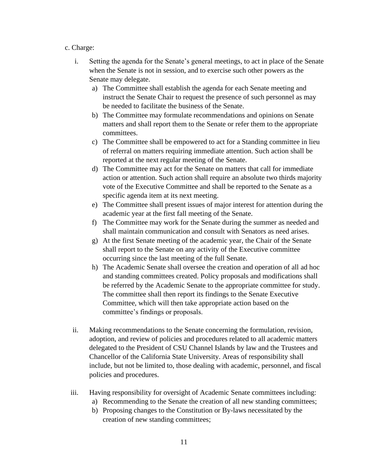## c. Charge:

- i. Setting the agenda for the Senate's general meetings, to act in place of the Senate when the Senate is not in session, and to exercise such other powers as the Senate may delegate.
	- a) The Committee shall establish the agenda for each Senate meeting and instruct the Senate Chair to request the presence of such personnel as may be needed to facilitate the business of the Senate.
	- b) The Committee may formulate recommendations and opinions on Senate matters and shall report them to the Senate or refer them to the appropriate committees.
	- c) The Committee shall be empowered to act for a Standing committee in lieu of referral on matters requiring immediate attention. Such action shall be reported at the next regular meeting of the Senate.
	- d) The Committee may act for the Senate on matters that call for immediate action or attention. Such action shall require an absolute two thirds majority vote of the Executive Committee and shall be reported to the Senate as a specific agenda item at its next meeting.
	- e) The Committee shall present issues of major interest for attention during the academic year at the first fall meeting of the Senate.
	- f) The Committee may work for the Senate during the summer as needed and shall maintain communication and consult with Senators as need arises.
	- g) At the first Senate meeting of the academic year, the Chair of the Senate shall report to the Senate on any activity of the Executive committee occurring since the last meeting of the full Senate.
	- h) The Academic Senate shall oversee the creation and operation of all ad hoc and standing committees created. Policy proposals and modifications shall be referred by the Academic Senate to the appropriate committee for study. The committee shall then report its findings to the Senate Executive Committee, which will then take appropriate action based on the committee's findings or proposals.
- ii. Making recommendations to the Senate concerning the formulation, revision, adoption, and review of policies and procedures related to all academic matters delegated to the President of CSU Channel Islands by law and the Trustees and Chancellor of the California State University. Areas of responsibility shall include, but not be limited to, those dealing with academic, personnel, and fiscal policies and procedures.
- iii. Having responsibility for oversight of Academic Senate committees including:
	- a) Recommending to the Senate the creation of all new standing committees;
	- b) Proposing changes to the Constitution or By-laws necessitated by the creation of new standing committees;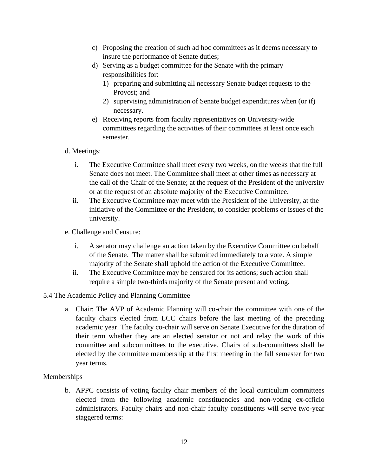- c) Proposing the creation of such ad hoc committees as it deems necessary to insure the performance of Senate duties;
- d) Serving as a budget committee for the Senate with the primary responsibilities for:
	- 1) preparing and submitting all necessary Senate budget requests to the Provost; and
	- 2) supervising administration of Senate budget expenditures when (or if) necessary.
- e) Receiving reports from faculty representatives on University-wide committees regarding the activities of their committees at least once each semester.

## d. Meetings:

- i. The Executive Committee shall meet every two weeks, on the weeks that the full Senate does not meet. The Committee shall meet at other times as necessary at the call of the Chair of the Senate; at the request of the President of the university or at the request of an absolute majority of the Executive Committee.
- ii. The Executive Committee may meet with the President of the University, at the initiative of the Committee or the President, to consider problems or issues of the university.
- e. Challenge and Censure:
	- i. A senator may challenge an action taken by the Executive Committee on behalf of the Senate. The matter shall be submitted immediately to a vote. A simple majority of the Senate shall uphold the action of the Executive Committee.
	- ii. The Executive Committee may be censured for its actions; such action shall require a simple two-thirds majority of the Senate present and voting.

## 5.4 The Academic Policy and Planning Committee

a. Chair: The AVP of Academic Planning will co-chair the committee with one of the faculty chairs elected from LCC chairs before the last meeting of the preceding academic year. The faculty co-chair will serve on Senate Executive for the duration of their term whether they are an elected senator or not and relay the work of this committee and subcommittees to the executive. Chairs of sub-committees shall be elected by the committee membership at the first meeting in the fall semester for two year terms.

## **Memberships**

b. APPC consists of voting faculty chair members of the local curriculum committees elected from the following academic constituencies and non-voting ex-officio administrators. Faculty chairs and non-chair faculty constituents will serve two-year staggered terms: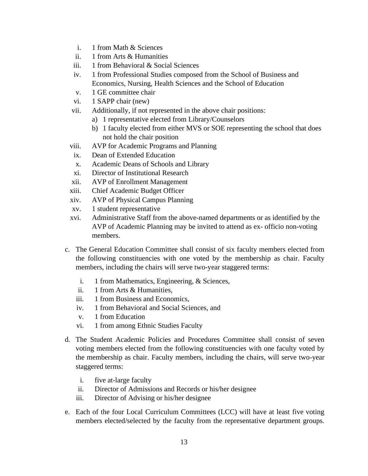- i. 1 from Math & Sciences
- ii. 1 from Arts & Humanities
- iii. 1 from Behavioral & Social Sciences
- iv. 1 from Professional Studies composed from the School of Business and Economics, Nursing, Health Sciences and the School of Education
- v. 1 GE committee chair
- vi. 1 SAPP chair (new)
- vii. Additionally, if not represented in the above chair positions:
	- a) 1 representative elected from Library/Counselors
	- b) 1 faculty elected from either MVS or SOE representing the school that does not hold the chair position
- viii. AVP for Academic Programs and Planning
- ix. Dean of Extended Education
- x. Academic Deans of Schools and Library
- xi. Director of Institutional Research
- xii. AVP of Enrollment Management
- xiii. Chief Academic Budget Officer
- xiv. AVP of Physical Campus Planning
- xv. 1 student representative
- xvi. Administrative Staff from the above-named departments or as identified by the AVP of Academic Planning may be invited to attend as ex- officio non-voting members.
- c. The General Education Committee shall consist of six faculty members elected from the following constituencies with one voted by the membership as chair. Faculty members, including the chairs will serve two-year staggered terms:
	- i. 1 from Mathematics, Engineering, & Sciences,
	- ii. 1 from Arts & Humanities,
	- iii. 1 from Business and Economics,
	- iv. 1 from Behavioral and Social Sciences, and
	- v. 1 from Education
	- vi. 1 from among Ethnic Studies Faculty
- d. The Student Academic Policies and Procedures Committee shall consist of seven voting members elected from the following constituencies with one faculty voted by the membership as chair. Faculty members, including the chairs, will serve two-year staggered terms:
	- i. five at-large faculty
	- ii. Director of Admissions and Records or his/her designee
	- iii. Director of Advising or his/her designee
- e. Each of the four Local Curriculum Committees (LCC) will have at least five voting members elected/selected by the faculty from the representative department groups.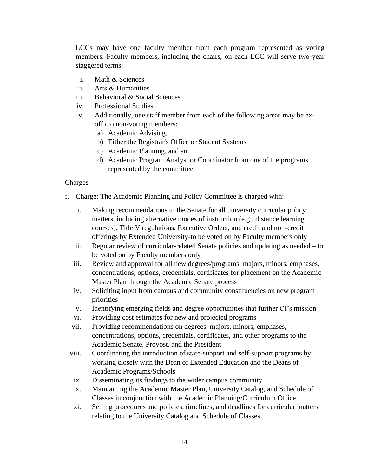LCCs may have one faculty member from each program represented as voting members. Faculty members, including the chairs, on each LCC will serve two-year staggered terms:

- i. Math & Sciences
- ii. Arts & Humanities
- iii. Behavioral & Social Sciences
- iv. Professional Studies
- v. Additionally, one staff member from each of the following areas may be exofficio non-voting members:
	- a) Academic Advising,
	- b) Either the Registrar's Office or Student Systems
	- c) Academic Planning, and an
	- d) Academic Program Analyst or Coordinator from one of the programs represented by the committee.

#### Charges

- f. Charge: The Academic Planning and Policy Committee is charged with:
	- i. Making recommendations to the Senate for all university curricular policy matters, including alternative modes of instruction (e.g., distance learning courses), Title V regulations, Executive Orders, and credit and non-credit offerings by Extended University-to be voted on by Faculty members only
	- ii. Regular review of curricular-related Senate policies and updating as needed to be voted on by Faculty members only
	- iii. Review and approval for all new degrees/programs, majors, minors, emphases, concentrations, options, credentials, certificates for placement on the Academic Master Plan through the Academic Senate process
	- iv. Soliciting input from campus and community constituencies on new program priorities
	- v. Identifying emerging fields and degree opportunities that further CI's mission
	- vi. Providing cost estimates for new and projected programs
	- vii. Providing recommendations on degrees, majors, minors, emphases, concentrations, options, credentials, certificates, and other programs to the Academic Senate, Provost, and the President
	- viii. Coordinating the introduction of state-support and self-support programs by working closely with the Dean of Extended Education and the Deans of Academic Programs/Schools
	- ix. Disseminating its findings to the wider campus community
	- x. Maintaining the Academic Master Plan, University Catalog, and Schedule of Classes in conjunction with the Academic Planning/Curriculum Office
	- xi. Setting procedures and policies, timelines, and deadlines for curricular matters relating to the University Catalog and Schedule of Classes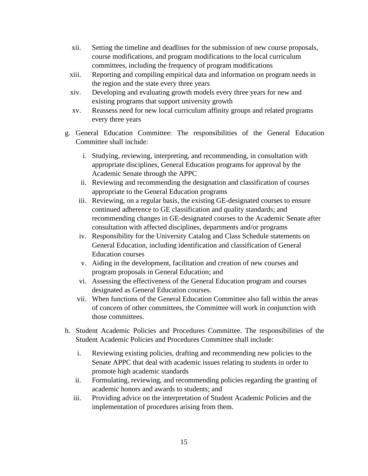- xii. Setting the timeline and deadlines for the submission of new course proposals, course modifications, and program modifications to the local curriculum committees, including the frequency of program modifications
- xiii. Reporting and compiling empirical data and information on program needs in the region and the state every three years
- xiv. Developing and evaluating growth models every three years for new and existing programs that support university growth
- xv. Reassess need for new local curriculum affinity groups and related programs every three years
- g. General Education Committee: The responsibilities of the General Education Committee shall include:
	- i. Studying, reviewing, interpreting, and recommending, in consultation with appropriate disciplines, General Education programs for approval by the Academic Senate through the APPC
	- ii. Reviewing and recommending the designation and classification of courses appropriate to the General Education programs
	- iii. Reviewing, on a regular basis, the existing GE-designated courses to ensure continued adherence to GE classification and quality standards; and recommending changes in GE-designated courses to the Academic Senate after consultation with affected disciplines, departments and/or programs
	- iv. Responsibility for the University Catalog and Class Schedule statements on General Education, including identification and classification of General Education courses
	- v. Aiding in the development, facilitation and creation of new courses and program proposals in General Education; and
	- vi. Assessing the effectiveness of the General Education program and courses designated as General Education courses.
	- vii. When functions of the General Education Committee also fall within the areas of concern of other committees, the Committee will work in conjunction with those committees.
- h. Student Academic Policies and Procedures Committee. The responsibilities of the Student Academic Policies and Procedures Committee shall include:
	- i. Reviewing existing policies, drafting and recommending new policies to the Senate APPC that deal with academic issues relating to students in order to promote high academic standards
	- ii. Formulating, reviewing, and recommending policies regarding the granting of academic honors and awards to students; and
	- iii. Providing advice on the interpretation of Student Academic Policies and the implementation of procedures arising from them.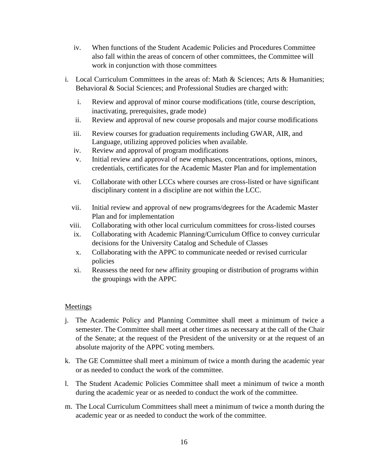- iv. When functions of the Student Academic Policies and Procedures Committee also fall within the areas of concern of other committees, the Committee will work in conjunction with those committees
- i. Local Curriculum Committees in the areas of: Math & Sciences; Arts & Humanities; Behavioral & Social Sciences; and Professional Studies are charged with:
	- i. Review and approval of minor course modifications (title, course description, inactivating, prerequisites, grade mode)
	- ii. Review and approval of new course proposals and major course modifications
	- iii. Review courses for graduation requirements including GWAR, AIR, and Language, utilizing approved policies when available*.*
	- iv. Review and approval of program modifications
	- v. Initial review and approval of new emphases, concentrations, options, minors, credentials, certificates for the Academic Master Plan and for implementation
	- vi. Collaborate with other LCCs where courses are cross-listed or have significant disciplinary content in a discipline are not within the LCC.
	- vii. Initial review and approval of new programs/degrees for the Academic Master Plan and for implementation
	- viii. Collaborating with other local curriculum committees for cross-listed courses
	- ix. Collaborating with Academic Planning/Curriculum Office to convey curricular decisions for the University Catalog and Schedule of Classes
	- x. Collaborating with the APPC to communicate needed or revised curricular policies
	- xi. Reassess the need for new affinity grouping or distribution of programs within the groupings with the APPC

## Meetings

- j. The Academic Policy and Planning Committee shall meet a minimum of twice a semester. The Committee shall meet at other times as necessary at the call of the Chair of the Senate; at the request of the President of the university or at the request of an absolute majority of the APPC voting members.
- k. The GE Committee shall meet a minimum of twice a month during the academic year or as needed to conduct the work of the committee.
- l. The Student Academic Policies Committee shall meet a minimum of twice a month during the academic year or as needed to conduct the work of the committee.
- m. The Local Curriculum Committees shall meet a minimum of twice a month during the academic year or as needed to conduct the work of the committee.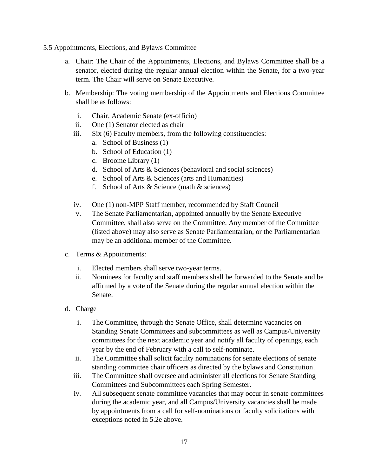- 5.5 Appointments, Elections, and Bylaws Committee
	- a. Chair: The Chair of the Appointments, Elections, and Bylaws Committee shall be a senator, elected during the regular annual election within the Senate, for a two-year term. The Chair will serve on Senate Executive.
	- b. Membership: The voting membership of the Appointments and Elections Committee shall be as follows:
		- i. Chair, Academic Senate (ex-officio)
		- ii. One (1) Senator elected as chair
		- iii. Six (6) Faculty members, from the following constituencies:
			- a. School of Business (1)
			- b. School of Education (1)
			- c. Broome Library (1)
			- d. School of Arts & Sciences (behavioral and social sciences)
			- e. School of Arts & Sciences (arts and Humanities)
			- f. School of Arts & Science (math & sciences)
		- iv. One (1) non-MPP Staff member, recommended by Staff Council
		- v. The Senate Parliamentarian, appointed annually by the Senate Executive Committee, shall also serve on the Committee. Any member of the Committee (listed above) may also serve as Senate Parliamentarian, or the Parliamentarian may be an additional member of the Committee.
	- c. Terms & Appointments:
		- i. Elected members shall serve two-year terms.
		- ii. Nominees for faculty and staff members shall be forwarded to the Senate and be affirmed by a vote of the Senate during the regular annual election within the Senate.
	- d. Charge
		- i. The Committee, through the Senate Office, shall determine vacancies on Standing Senate Committees and subcommittees as well as Campus/University committees for the next academic year and notify all faculty of openings, each year by the end of February with a call to self-nominate.
		- ii. The Committee shall solicit faculty nominations for senate elections of senate standing committee chair officers as directed by the bylaws and Constitution.
		- iii. The Committee shall oversee and administer all elections for Senate Standing Committees and Subcommittees each Spring Semester.
		- iv. All subsequent senate committee vacancies that may occur in senate committees during the academic year, and all Campus/University vacancies shall be made by appointments from a call for self-nominations or faculty solicitations with exceptions noted in 5.2e above.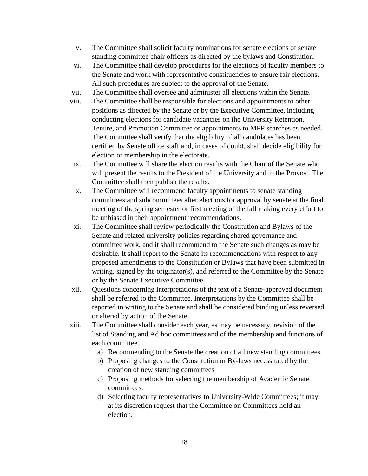- v. The Committee shall solicit faculty nominations for senate elections of senate standing committee chair officers as directed by the bylaws and Constitution.
- vi. The Committee shall develop procedures for the elections of faculty members to the Senate and work with representative constituencies to ensure fair elections. All such procedures are subject to the approval of the Senate.
- vii. The Committee shall oversee and administer all elections within the Senate.
- viii. The Committee shall be responsible for elections and appointments to other positions as directed by the Senate or by the Executive Committee, including conducting elections for candidate vacancies on the University Retention, Tenure, and Promotion Committee or appointments to MPP searches as needed. The Committee shall verify that the eligibility of all candidates has been certified by Senate office staff and, in cases of doubt, shall decide eligibility for election or membership in the electorate.
- ix. The Committee will share the election results with the Chair of the Senate who will present the results to the President of the University and to the Provost. The Committee shall then publish the results.
- x. The Committee will recommend faculty appointments to senate standing committees and subcommittees after elections for approval by senate at the final meeting of the spring semester or first meeting of the fall making every effort to be unbiased in their appointment recommendations.
- xi. The Committee shall review periodically the Constitution and Bylaws of the Senate and related university policies regarding shared governance and committee work, and it shall recommend to the Senate such changes as may be desirable. It shall report to the Senate its recommendations with respect to any proposed amendments to the Constitution or Bylaws that have been submitted in writing, signed by the originator(s), and referred to the Committee by the Senate or by the Senate Executive Committee.
- xii. Questions concerning interpretations of the text of a Senate-approved document shall be referred to the Committee. Interpretations by the Committee shall be reported in writing to the Senate and shall be considered binding unless reversed or altered by action of the Senate.
- xiii. The Committee shall consider each year, as may be necessary, revision of the list of Standing and Ad hoc committees and of the membership and functions of each committee.
	- a) Recommending to the Senate the creation of all new standing committees
	- b) Proposing changes to the Constitution or By-laws necessitated by the creation of new standing committees
	- c) Proposing methods for selecting the membership of Academic Senate committees.
	- d) Selecting faculty representatives to University-Wide Committees; it may at its discretion request that the Committee on Committees hold an election.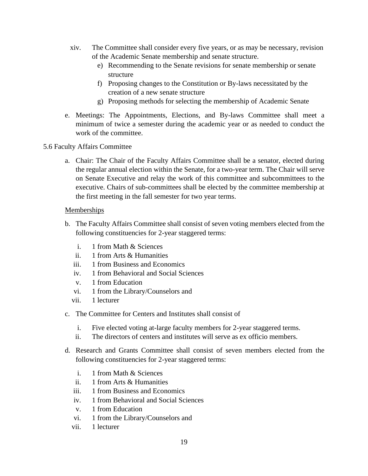- xiv. The Committee shall consider every five years, or as may be necessary, revision of the Academic Senate membership and senate structure.
	- e) Recommending to the Senate revisions for senate membership or senate structure
	- f) Proposing changes to the Constitution or By-laws necessitated by the creation of a new senate structure
	- g) Proposing methods for selecting the membership of Academic Senate
- e. Meetings: The Appointments, Elections, and By-laws Committee shall meet a minimum of twice a semester during the academic year or as needed to conduct the work of the committee.
- 5.6 Faculty Affairs Committee
	- a. Chair: The Chair of the Faculty Affairs Committee shall be a senator, elected during the regular annual election within the Senate, for a two-year term. The Chair will serve on Senate Executive and relay the work of this committee and subcommittees to the executive. Chairs of sub-committees shall be elected by the committee membership at the first meeting in the fall semester for two year terms.

## **Memberships**

- b. The Faculty Affairs Committee shall consist of seven voting members elected from the following constituencies for 2-year staggered terms:
	- i. 1 from Math & Sciences
	- ii. 1 from Arts & Humanities
	- iii. 1 from Business and Economics
	- iv. 1 from Behavioral and Social Sciences
	- v. 1 from Education
	- vi. 1 from the Library/Counselors and
	- vii. 1 lecturer
- c. The Committee for Centers and Institutes shall consist of
	- i. Five elected voting at-large faculty members for 2-year staggered terms.
	- ii. The directors of centers and institutes will serve as ex officio members.
- d. Research and Grants Committee shall consist of seven members elected from the following constituencies for 2-year staggered terms:
	- i. 1 from Math & Sciences
	- ii. 1 from Arts & Humanities
	- iii. 1 from Business and Economics
	- iv. 1 from Behavioral and Social Sciences
	- v. 1 from Education
	- vi. 1 from the Library/Counselors and
	- vii. 1 lecturer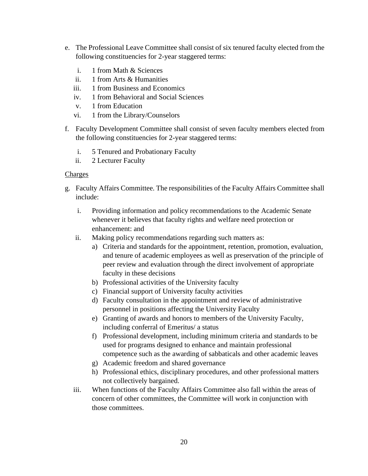- e. The Professional Leave Committee shall consist of six tenured faculty elected from the following constituencies for 2-year staggered terms:
	- i. 1 from Math & Sciences
	- ii. 1 from Arts & Humanities
	- iii. 1 from Business and Economics
	- iv. 1 from Behavioral and Social Sciences
	- v. 1 from Education
	- vi. 1 from the Library/Counselors
- f. Faculty Development Committee shall consist of seven faculty members elected from the following constituencies for 2-year staggered terms:
	- i. 5 Tenured and Probationary Faculty
	- ii. 2 Lecturer Faculty

### Charges

- g. Faculty Affairs Committee. The responsibilities of the Faculty Affairs Committee shall include:
	- i. Providing information and policy recommendations to the Academic Senate whenever it believes that faculty rights and welfare need protection or enhancement: and
	- ii. Making policy recommendations regarding such matters as:
		- a) Criteria and standards for the appointment, retention, promotion, evaluation, and tenure of academic employees as well as preservation of the principle of peer review and evaluation through the direct involvement of appropriate faculty in these decisions
		- b) Professional activities of the University faculty
		- c) Financial support of University faculty activities
		- d) Faculty consultation in the appointment and review of administrative personnel in positions affecting the University Faculty
		- e) Granting of awards and honors to members of the University Faculty, including conferral of Emeritus/ a status
		- f) Professional development, including minimum criteria and standards to be used for programs designed to enhance and maintain professional competence such as the awarding of sabbaticals and other academic leaves
		- g) Academic freedom and shared governance
		- h) Professional ethics, disciplinary procedures, and other professional matters not collectively bargained.
	- iii. When functions of the Faculty Affairs Committee also fall within the areas of concern of other committees, the Committee will work in conjunction with those committees.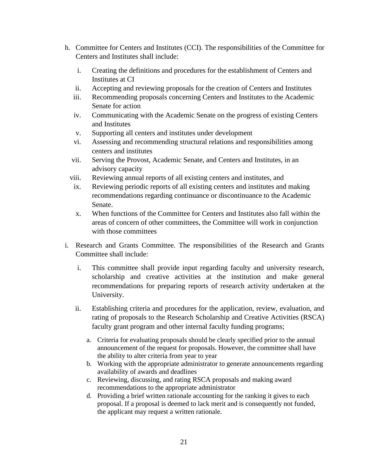- h. Committee for Centers and Institutes (CCI). The responsibilities of the Committee for Centers and Institutes shall include:
	- i. Creating the definitions and procedures for the establishment of Centers and Institutes at CI
	- ii. Accepting and reviewing proposals for the creation of Centers and Institutes
	- iii. Recommending proposals concerning Centers and Institutes to the Academic Senate for action
	- iv. Communicating with the Academic Senate on the progress of existing Centers and Institutes
	- v. Supporting all centers and institutes under development
	- vi. Assessing and recommending structural relations and responsibilities among centers and institutes
	- vii. Serving the Provost, Academic Senate, and Centers and Institutes, in an advisory capacity
	- viii. Reviewing annual reports of all existing centers and institutes, and
	- ix. Reviewing periodic reports of all existing centers and institutes and making recommendations regarding continuance or discontinuance to the Academic Senate.
	- x. When functions of the Committee for Centers and Institutes also fall within the areas of concern of other committees, the Committee will work in conjunction with those committees
- i. Research and Grants Committee. The responsibilities of the Research and Grants Committee shall include:
	- i. This committee shall provide input regarding faculty and university research, scholarship and creative activities at the institution and make general recommendations for preparing reports of research activity undertaken at the University.
	- ii. Establishing criteria and procedures for the application, review, evaluation, and rating of proposals to the Research Scholarship and Creative Activities (RSCA) faculty grant program and other internal faculty funding programs;
		- a. Criteria for evaluating proposals should be clearly specified prior to the annual announcement of the request for proposals. However, the committee shall have the ability to alter criteria from year to year
		- b. Working with the appropriate administrator to generate announcements regarding availability of awards and deadlines
		- c. Reviewing, discussing, and rating RSCA proposals and making award recommendations to the appropriate administrator
		- d. Providing a brief written rationale accounting for the ranking it gives to each proposal. If a proposal is deemed to lack merit and is consequently not funded, the applicant may request a written rationale.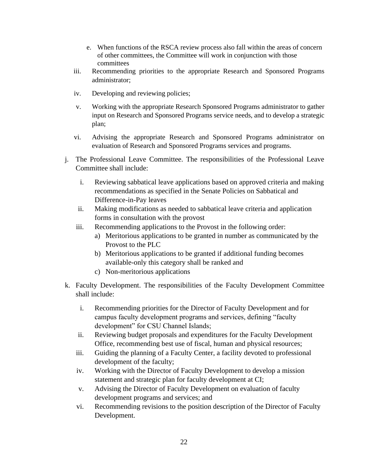- e. When functions of the RSCA review process also fall within the areas of concern of other committees, the Committee will work in conjunction with those committees
- iii. Recommending priorities to the appropriate Research and Sponsored Programs administrator;
- iv. Developing and reviewing policies;
- v. Working with the appropriate Research Sponsored Programs administrator to gather input on Research and Sponsored Programs service needs, and to develop a strategic plan;
- vi. Advising the appropriate Research and Sponsored Programs administrator on evaluation of Research and Sponsored Programs services and programs.
- j. The Professional Leave Committee. The responsibilities of the Professional Leave Committee shall include:
	- i. Reviewing sabbatical leave applications based on approved criteria and making recommendations as specified in the Senate Policies on Sabbatical and Difference-in-Pay leaves
	- ii. Making modifications as needed to sabbatical leave criteria and application forms in consultation with the provost
	- iii. Recommending applications to the Provost in the following order:
		- a) Meritorious applications to be granted in number as communicated by the Provost to the PLC
		- b) Meritorious applications to be granted if additional funding becomes available-only this category shall be ranked and
		- c) Non-meritorious applications
- k. Faculty Development. The responsibilities of the Faculty Development Committee shall include:
	- i. Recommending priorities for the Director of Faculty Development and for campus faculty development programs and services, defining "faculty development" for CSU Channel Islands;
	- ii. Reviewing budget proposals and expenditures for the Faculty Development Office, recommending best use of fiscal, human and physical resources;
	- iii. Guiding the planning of a Faculty Center, a facility devoted to professional development of the faculty;
	- iv. Working with the Director of Faculty Development to develop a mission statement and strategic plan for faculty development at CI;
	- v. Advising the Director of Faculty Development on evaluation of faculty development programs and services; and
	- vi. Recommending revisions to the position description of the Director of Faculty Development.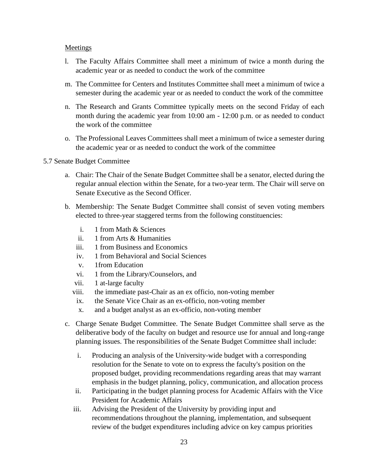#### **Meetings**

- l. The Faculty Affairs Committee shall meet a minimum of twice a month during the academic year or as needed to conduct the work of the committee
- m. The Committee for Centers and Institutes Committee shall meet a minimum of twice a semester during the academic year or as needed to conduct the work of the committee
- n. The Research and Grants Committee typically meets on the second Friday of each month during the academic year from 10:00 am - 12:00 p.m. or as needed to conduct the work of the committee
- o. The Professional Leaves Committees shall meet a minimum of twice a semester during the academic year or as needed to conduct the work of the committee

#### 5.7 Senate Budget Committee

- a. Chair: The Chair of the Senate Budget Committee shall be a senator, elected during the regular annual election within the Senate, for a two-year term. The Chair will serve on Senate Executive as the Second Officer.
- b. Membership: The Senate Budget Committee shall consist of seven voting members elected to three-year staggered terms from the following constituencies:
	- i. 1 from Math & Sciences
	- ii. 1 from Arts & Humanities
	- iii. 1 from Business and Economics
	- iv. 1 from Behavioral and Social Sciences
	- v. 1from Education
	- vi. 1 from the Library/Counselors, and
	- vii. 1 at-large faculty
	- viii. the immediate past-Chair as an ex officio, non-voting member
	- ix. the Senate Vice Chair as an ex-officio, non-voting member
	- x. and a budget analyst as an ex-officio, non-voting member
- c. Charge Senate Budget Committee. The Senate Budget Committee shall serve as the deliberative body of the faculty on budget and resource use for annual and long-range planning issues. The responsibilities of the Senate Budget Committee shall include:
	- i. Producing an analysis of the University-wide budget with a corresponding resolution for the Senate to vote on to express the faculty's position on the proposed budget, providing recommendations regarding areas that may warrant emphasis in the budget planning, policy, communication, and allocation process
	- ii. Participating in the budget planning process for Academic Affairs with the Vice President for Academic Affairs
	- iii. Advising the President of the University by providing input and recommendations throughout the planning, implementation, and subsequent review of the budget expenditures including advice on key campus priorities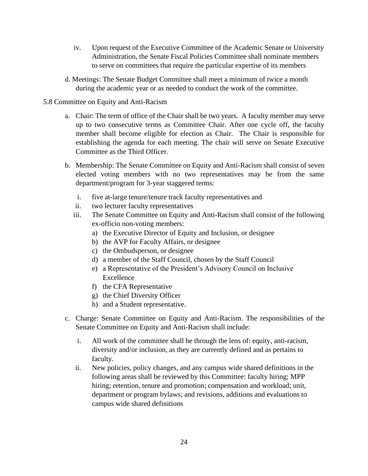- iv. Upon request of the Executive Committee of the Academic Senate or University Administration, the Senate Fiscal Policies Committee shall nominate members to serve on committees that require the particular expertise of its members
- d. Meetings: The Senate Budget Committee shall meet a minimum of twice a month during the academic year or as needed to conduct the work of the committee.

## 5.8 Committee on Equity and Anti-Racism

- a. Chair: The term of office of the Chair shall be two years. A faculty member may serve up to two consecutive terms as Committee Chair. After one cycle off, the faculty member shall become eligible for election as Chair. The Chair is responsible for establishing the agenda for each meeting. The chair will serve on Senate Executive Committee as the Third Officer.
- b. Membership: The Senate Committee on Equity and Anti-Racism shall consist of seven elected voting members with no two representatives may be from the same department/program for 3-year staggered terms:
	- i. five at-large tenure/tenure track faculty representatives and
	- ii. two lecturer faculty representatives
	- iii. The Senate Committee on Equity and Anti-Racism shall consist of the following ex-officio non-voting members:
		- a) the Executive Director of Equity and Inclusion, or designee
		- b) the AVP for Faculty Affairs, or designee
		- c) the Ombudsperson, or designee
		- d) a member of the Staff Council, chosen by the Staff Council
		- e) a Representative of the President's Advisory Council on Inclusive Excellence
		- f) the CFA Representative
		- g) the Chief Diversity Officer
		- h) and a Student representative.
- c. Charge: Senate Committee on Equity and Anti-Racism. The responsibilities of the Senate Committee on Equity and Anti-Racism shall include:
	- i. All work of the committee shall be through the lens of: equity, anti-racism, diversity and/or inclusion, as they are currently defined and as pertains to faculty.
	- ii. New policies, policy changes, and any campus wide shared definitions in the following areas shall be reviewed by this Committee: faculty hiring; MPP hiring; retention, tenure and promotion; compensation and workload; unit, department or program bylaws; and revisions, additions and evaluations to campus wide shared definitions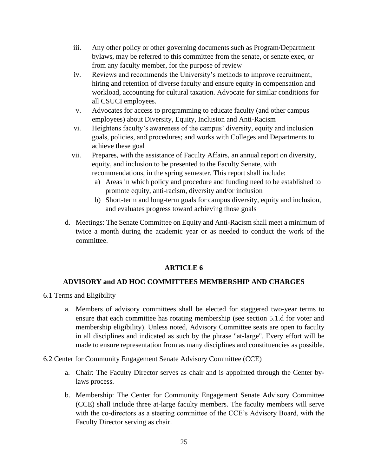- iii. Any other policy or other governing documents such as Program/Department bylaws, may be referred to this committee from the senate, or senate exec, or from any faculty member, for the purpose of review
- iv. Reviews and recommends the University's methods to improve recruitment, hiring and retention of diverse faculty and ensure equity in compensation and workload, accounting for cultural taxation. Advocate for similar conditions for all CSUCI employees.
- v. Advocates for access to programming to educate faculty (and other campus employees) about Diversity, Equity, Inclusion and Anti-Racism
- vi. Heightens faculty's awareness of the campus' diversity, equity and inclusion goals, policies, and procedures; and works with Colleges and Departments to achieve these goal
- vii. Prepares, with the assistance of Faculty Affairs, an annual report on diversity, equity, and inclusion to be presented to the Faculty Senate, with recommendations, in the spring semester. This report shall include:
	- a) Areas in which policy and procedure and funding need to be established to promote equity, anti-racism, diversity and/or inclusion
	- b) Short-term and long-term goals for campus diversity, equity and inclusion, and evaluates progress toward achieving those goals
- d. Meetings: The Senate Committee on Equity and Anti-Racism shall meet a minimum of twice a month during the academic year or as needed to conduct the work of the committee.

# **ARTICLE 6**

## **ADVISORY and AD HOC COMMITTEES MEMBERSHIP AND CHARGES**

- 6.1 Terms and Eligibility
	- a. Members of advisory committees shall be elected for staggered two-year terms to ensure that each committee has rotating membership (see section 5.1.d for voter and membership eligibility). Unless noted, Advisory Committee seats are open to faculty in all disciplines and indicated as such by the phrase "at-large". Every effort will be made to ensure representation from as many disciplines and constituencies as possible.

## 6.2 Center for Community Engagement Senate Advisory Committee (CCE)

- a. Chair: The Faculty Director serves as chair and is appointed through the Center bylaws process.
- b. Membership: The Center for Community Engagement Senate Advisory Committee (CCE) shall include three at-large faculty members. The faculty members will serve with the co-directors as a steering committee of the CCE's Advisory Board, with the Faculty Director serving as chair.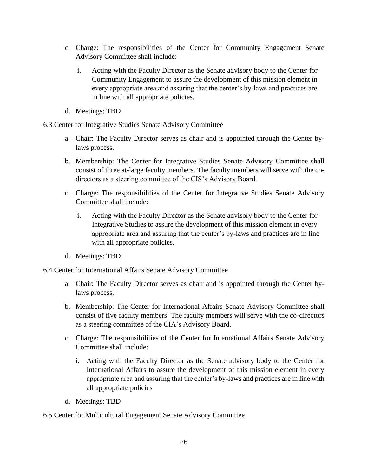- c. Charge: The responsibilities of the Center for Community Engagement Senate Advisory Committee shall include:
	- i. Acting with the Faculty Director as the Senate advisory body to the Center for Community Engagement to assure the development of this mission element in every appropriate area and assuring that the center's by-laws and practices are in line with all appropriate policies.
- d. Meetings: TBD

6.3 Center for Integrative Studies Senate Advisory Committee

- a. Chair: The Faculty Director serves as chair and is appointed through the Center bylaws process.
- b. Membership: The Center for Integrative Studies Senate Advisory Committee shall consist of three at-large faculty members. The faculty members will serve with the codirectors as a steering committee of the CIS's Advisory Board.
- c. Charge: The responsibilities of the Center for Integrative Studies Senate Advisory Committee shall include:
	- i. Acting with the Faculty Director as the Senate advisory body to the Center for Integrative Studies to assure the development of this mission element in every appropriate area and assuring that the center's by-laws and practices are in line with all appropriate policies.
- d. Meetings: TBD

6.4 Center for International Affairs Senate Advisory Committee

- a. Chair: The Faculty Director serves as chair and is appointed through the Center bylaws process.
- b. Membership: The Center for International Affairs Senate Advisory Committee shall consist of five faculty members. The faculty members will serve with the co-directors as a steering committee of the CIA's Advisory Board.
- c. Charge: The responsibilities of the Center for International Affairs Senate Advisory Committee shall include:
	- i. Acting with the Faculty Director as the Senate advisory body to the Center for International Affairs to assure the development of this mission element in every appropriate area and assuring that the center's by-laws and practices are in line with all appropriate policies
- d. Meetings: TBD

6.5 Center for Multicultural Engagement Senate Advisory Committee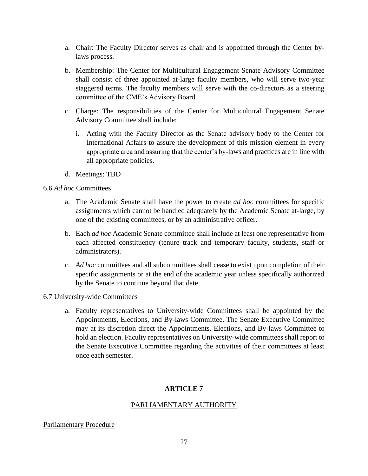- a. Chair: The Faculty Director serves as chair and is appointed through the Center bylaws process.
- b. Membership: The Center for Multicultural Engagement Senate Advisory Committee shall consist of three appointed at-large faculty members, who will serve two-year staggered terms. The faculty members will serve with the co-directors as a steering committee of the CME's Advisory Board.
- c. Charge: The responsibilities of the Center for Multicultural Engagement Senate Advisory Committee shall include:
	- i. Acting with the Faculty Director as the Senate advisory body to the Center for International Affairs to assure the development of this mission element in every appropriate area and assuring that the center's by-laws and practices are in line with all appropriate policies.
- d. Meetings: TBD

## 6.6 *Ad hoc* Committees

- a. The Academic Senate shall have the power to create *ad hoc* committees for specific assignments which cannot be handled adequately by the Academic Senate at-large, by one of the existing committees, or by an administrative officer.
- b. Each *ad hoc* Academic Senate committee shall include at least one representative from each affected constituency (tenure track and temporary faculty, students, staff or administrators).
- c. *Ad hoc* committees and all subcommittees shall cease to exist upon completion of their specific assignments or at the end of the academic year unless specifically authorized by the Senate to continue beyond that date.

6.7 University-wide Committees

a. Faculty representatives to University-wide Committees shall be appointed by the Appointments, Elections, and By-laws Committee. The Senate Executive Committee may at its discretion direct the Appointments, Elections, and By-laws Committee to hold an election. Faculty representatives on University-wide committees shall report to the Senate Executive Committee regarding the activities of their committees at least once each semester.

# **ARTICLE 7**

# PARLIAMENTARY AUTHORITY

### Parliamentary Procedure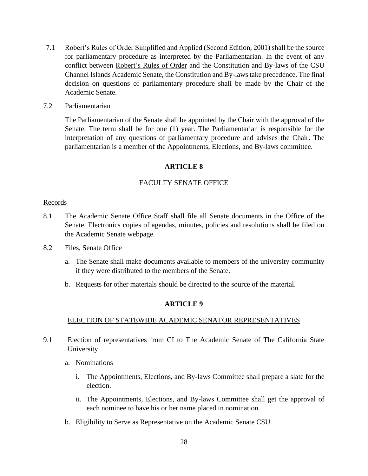- 7.1 Robert's Rules of Order Simplified and Applied (Second Edition, 2001) shall be the source for parliamentary procedure as interpreted by the Parliamentarian. In the event of any conflict between Robert's Rules of Order and the Constitution and By-laws of the CSU Channel Islands Academic Senate, the Constitution and By-laws take precedence. The final decision on questions of parliamentary procedure shall be made by the Chair of the Academic Senate.
- 7.2 Parliamentarian

The Parliamentarian of the Senate shall be appointed by the Chair with the approval of the Senate. The term shall be for one (1) year. The Parliamentarian is responsible for the interpretation of any questions of parliamentary procedure and advises the Chair. The parliamentarian is a member of the Appointments, Elections, and By-laws committee.

#### **ARTICLE 8**

### FACULTY SENATE OFFICE

#### Records

- 8.1 The Academic Senate Office Staff shall file all Senate documents in the Office of the Senate. Electronics copies of agendas, minutes, policies and resolutions shall be filed on the Academic Senate webpage.
- 8.2 Files, Senate Office
	- a. The Senate shall make documents available to members of the university community if they were distributed to the members of the Senate.
	- b. Requests for other materials should be directed to the source of the material.

#### **ARTICLE 9**

#### ELECTION OF STATEWIDE ACADEMIC SENATOR REPRESENTATIVES

- 9.1 Election of representatives from CI to The Academic Senate of The California State University.
	- a. Nominations
		- i. The Appointments, Elections, and By-laws Committee shall prepare a slate for the election.
		- ii. The Appointments, Elections, and By-laws Committee shall get the approval of each nominee to have his or her name placed in nomination.
	- b. Eligibility to Serve as Representative on the Academic Senate CSU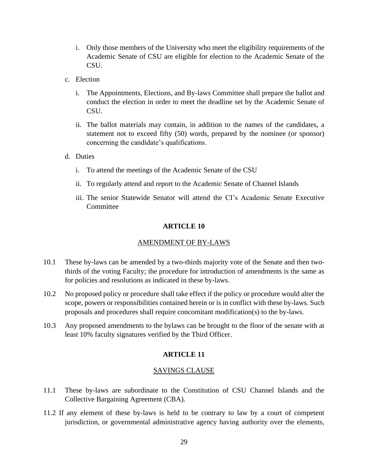- i. Only those members of the University who meet the eligibility requirements of the Academic Senate of CSU are eligible for election to the Academic Senate of the CSU.
- c. Election
	- i. The Appointments, Elections, and By-laws Committee shall prepare the ballot and conduct the election in order to meet the deadline set by the Academic Senate of CSU.
	- ii. The ballot materials may contain, in addition to the names of the candidates, a statement not to exceed fifty (50) words, prepared by the nominee (or sponsor) concerning the candidate's qualifications.
- d. Duties
	- i. To attend the meetings of the Academic Senate of the CSU
	- ii. To regularly attend and report to the Academic Senate of Channel Islands
	- iii. The senior Statewide Senator will attend the CI's Academic Senate Executive **Committee**

#### **ARTICLE 10**

### AMENDMENT OF BY-LAWS

- 10.1 These by-laws can be amended by a two-thirds majority vote of the Senate and then twothirds of the voting Faculty; the procedure for introduction of amendments is the same as for policies and resolutions as indicated in these by-laws.
- 10.2 No proposed policy or procedure shall take effect if the policy or procedure would alter the scope, powers or responsibilities contained herein or is in conflict with these by-laws. Such proposals and procedures shall require concomitant modification(s) to the by-laws.
- 10.3 Any proposed amendments to the bylaws can be brought to the floor of the senate with at least 10% faculty signatures verified by the Third Officer.

### **ARTICLE 11**

#### SAVINGS CLAUSE

- 11.1 These by-laws are subordinate to the Constitution of CSU Channel Islands and the Collective Bargaining Agreement (CBA).
- 11.2 If any element of these by-laws is held to be contrary to law by a court of competent jurisdiction, or governmental administrative agency having authority over the elements,